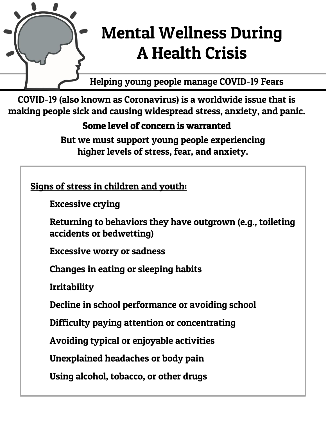

# Mental Wellness During A Health Crisis

Helping young people manage COVID-19 Fears

COVID-19 (also known as Coronavirus) is a worldwide issue that is making people sick and causing widespread stress, anxiety, and panic.

## Some level of concern is warranted

But we must support young people experiencing higher levels of stress, fear, and anxiety.

Signs of stress in children and youth:

Excessive crying

Returning to behaviors they have outgrown (e.g., toileting accidents or bedwetting)

Excessive worry or sadness

Changes in eating or sleeping habits

Irritability

Decline in school performance or avoiding school

Difficulty paying attention or concentrating

Avoiding typical or enjoyable activities

Unexplained headaches or body pain

Using alcohol, tobacco, or other drugs